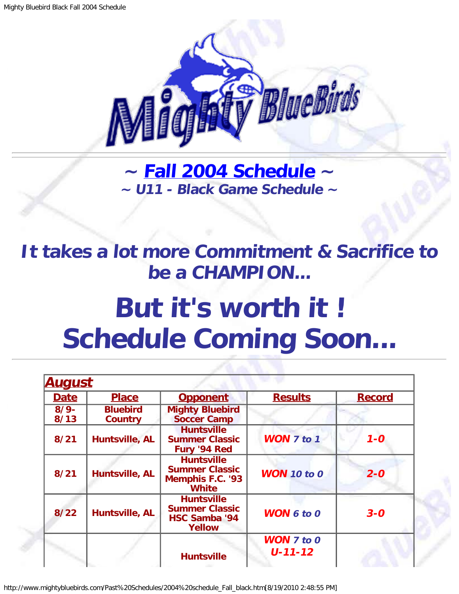

**~ [Fall 2004 Schedule](#page-0-0) ~ ~ U11 - Black Game Schedule ~**

<span id="page-0-1"></span>**It takes a lot more Commitment & Sacrifice to be a CHAMPION...**

## **But it's worth it ! Schedule Coming Soon...**

<span id="page-0-0"></span>

| <u>August</u>  |                                   |                                                                                       |                                        |               |
|----------------|-----------------------------------|---------------------------------------------------------------------------------------|----------------------------------------|---------------|
| <b>Date</b>    | <b>Place</b>                      | <b>Opponent</b>                                                                       | <b>Results</b>                         | <b>Record</b> |
| $8/9-$<br>8/13 | <b>Bluebird</b><br><b>Country</b> | <b>Mighty Bluebird</b><br><b>Soccer Camp</b>                                          |                                        |               |
| 8/21           | Huntsville, AL                    | <b>Huntsville</b><br><b>Summer Classic</b><br>Fury '94 Red                            | <b>WON 7 to 1</b>                      | $1 - 0$       |
| 8/21           | Huntsville, AL                    | <b>Huntsville</b><br><b>Summer Classic</b><br><b>Memphis F.C. '93</b><br><b>White</b> | <b>WON</b> 10 to 0                     | $2 - 0$       |
| $8/22$         | Huntsville, AL                    | <b>Huntsville</b><br><b>Summer Classic</b><br><b>HSC Samba '94</b><br><b>Yellow</b>   | <b>WON 6 to 0</b>                      | $3 - 0$       |
|                |                                   | <b>Huntsville</b>                                                                     | <b>WON</b> $7$ to $0$<br>$U - 11 - 12$ |               |

http://www.mightybluebirds.com/Past%20Schedules/2004%20schedule\_Fall\_black.htm[8/19/2010 2:48:55 PM]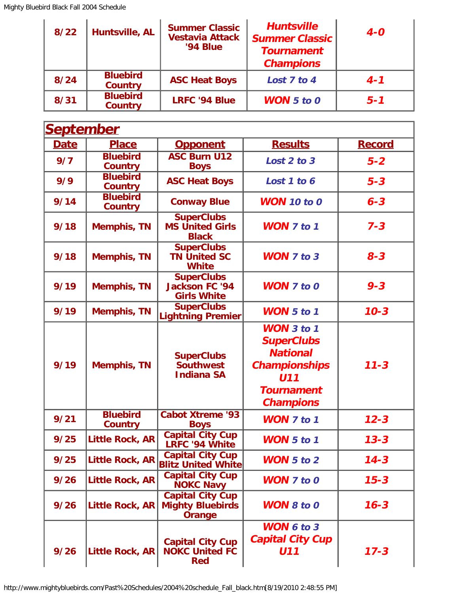| $8/22$ | Huntsville, AL                    | <b>Summer Classic</b><br><b>Vestavia Attack</b><br><b>'94 Blue</b> | <b>Huntsville</b><br><b>Summer Classic</b><br><b>Tournament</b><br><b>Champions</b> | $4 - 0$ |
|--------|-----------------------------------|--------------------------------------------------------------------|-------------------------------------------------------------------------------------|---------|
| 8/24   | <b>Bluebird</b><br><b>Country</b> | <b>ASC Heat Boys</b>                                               | Lost 7 to 4                                                                         | $4 - 1$ |
| 8/31   | <b>Bluebird</b><br><b>Country</b> | <b>LRFC '94 Blue</b>                                               | <b>WON</b> $5$ to $0$                                                               | $5 - 1$ |

| September   |                                   |                                                                     |                                                                                                                                          |               |
|-------------|-----------------------------------|---------------------------------------------------------------------|------------------------------------------------------------------------------------------------------------------------------------------|---------------|
| <b>Date</b> | <b>Place</b>                      | <b>Opponent</b>                                                     | <b>Results</b>                                                                                                                           | <b>Record</b> |
| 9/7         | <b>Bluebird</b><br><b>Country</b> | <b>ASC Burn U12</b><br><b>Boys</b>                                  | Lost 2 to 3                                                                                                                              | $5 - 2$       |
| 9/9         | <b>Bluebird</b><br>Country        | <b>ASC Heat Boys</b>                                                | Lost 1 to 6                                                                                                                              | $5 - 3$       |
| 9/14        | <b>Bluebird</b><br><b>Country</b> | <b>Conway Blue</b>                                                  | <b>WON</b> 10 to 0                                                                                                                       | $6 - 3$       |
| 9/18        | <b>Memphis, TN</b>                | <b>SuperClubs</b><br><b>MS United Girls</b><br><b>Black</b>         | <b>WON 7 to 1</b>                                                                                                                        | $7 - 3$       |
| 9/18        | <b>Memphis, TN</b>                | <b>SuperClubs</b><br><b>TN United SC</b><br><b>White</b>            | <b>WON 7 to 3</b>                                                                                                                        | $8 - 3$       |
| 9/19        | <b>Memphis, TN</b>                | <b>SuperClubs</b><br><b>Jackson FC '94</b><br><b>Girls White</b>    | <b>WON</b> 7 to 0                                                                                                                        | $9 - 3$       |
| 9/19        | <b>Memphis, TN</b>                | <b>SuperClubs</b><br><b>Lightning Premier</b>                       | <b>WON</b> 5 to 1                                                                                                                        | $10 - 3$      |
| 9/19        | <b>Memphis, TN</b>                | <b>SuperClubs</b><br><b>Southwest</b><br><b>Indiana SA</b>          | <b>WON</b> 3 to 1<br><b>SuperClubs</b><br><b>National</b><br><b>Championships</b><br><b>U11</b><br><b>Tournament</b><br><b>Champions</b> | $11 - 3$      |
| 9/21        | <b>Bluebird</b><br><b>Country</b> | <b>Cabot Xtreme '93</b><br><b>Boys</b>                              | <b>WON</b> 7 to 1                                                                                                                        | $12 - 3$      |
| 9/25        | <b>Little Rock, AR</b>            | <b>Capital City Cup</b><br>LRFC '94 White                           | <b>WON 5 to 1</b>                                                                                                                        | $13 - 3$      |
| 9/25        | Little Rock, AR                   | <b>Capital City Cup</b><br><b>Blitz United White</b>                | <b>WON</b> 5 to 2                                                                                                                        | $14 - 3$      |
| 9/26        | <b>Little Rock, AR</b>            | <b>Capital City Cup</b><br><b>NOKC Navy</b>                         | <b>WON</b> 7 to 0                                                                                                                        | $15 - 3$      |
| 9/26        | <b>Little Rock, AR</b>            | <b>Capital City Cup</b><br><b>Mighty Bluebirds</b><br><b>Orange</b> | <b>WON 8 to 0</b>                                                                                                                        | $16 - 3$      |
| 9/26        | <b>Little Rock, AR</b>            | <b>Capital City Cup</b><br><b>NOKC United FC</b><br><b>Red</b>      | <b>WON 6 to 3</b><br><b>Capital City Cup</b><br>U11                                                                                      | $17 - 3$      |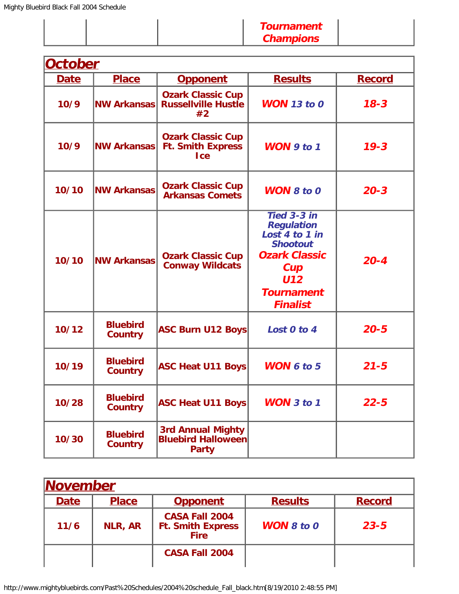| <b>Champions</b> |
|------------------|
|------------------|

| <b>October</b> |                                   |                                                                       |                                                                                                                                                            |               |  |
|----------------|-----------------------------------|-----------------------------------------------------------------------|------------------------------------------------------------------------------------------------------------------------------------------------------------|---------------|--|
| <b>Date</b>    | <b>Place</b>                      | <b>Opponent</b>                                                       | <b>Results</b>                                                                                                                                             | <b>Record</b> |  |
| 10/9           | <b>NW Arkansas</b>                | <b>Ozark Classic Cup</b><br><b>Russellville Hustle</b><br>#2          | <b>WON</b> 13 to 0                                                                                                                                         | $18 - 3$      |  |
| 10/9           | <b>NW Arkansas</b>                | <b>Ozark Classic Cup</b><br><b>Ft. Smith Express</b><br><b>I</b> ce   | WON $9$ to 1                                                                                                                                               | $19 - 3$      |  |
| 10/10          | <b>NW Arkansas</b>                | <b>Ozark Classic Cup</b><br><b>Arkansas Comets</b>                    | <b>WON 8 to 0</b>                                                                                                                                          | $20 - 3$      |  |
| 10/10          | <b>NW Arkansas</b>                | <b>Ozark Classic Cup</b><br><b>Conway Wildcats</b>                    | Tied 3-3 in<br><b>Regulation</b><br>Lost 4 to 1 in<br><b>Shootout</b><br><b>Ozark Classic</b><br>Cup<br><b>U12</b><br><b>Tournament</b><br><b>Finalist</b> | $20 - 4$      |  |
| 10/12          | <b>Bluebird</b><br><b>Country</b> | <b>ASC Burn U12 Boys</b>                                              | Lost 0 to 4                                                                                                                                                | $20 - 5$      |  |
| 10/19          | <b>Bluebird</b><br><b>Country</b> | <b>ASC Heat U11 Boys</b>                                              | <b>WON</b> $6$ to $5$                                                                                                                                      | $21 - 5$      |  |
| 10/28          | <b>Bluebird</b><br><b>Country</b> | <b>ASC Heat U11 Boys</b>                                              | <b>WON</b> 3 to 1                                                                                                                                          | $22 - 5$      |  |
| 10/30          | <b>Bluebird</b><br><b>Country</b> | <b>3rd Annual Mighty</b><br><b>Bluebird Halloween</b><br><b>Party</b> |                                                                                                                                                            |               |  |

| <b>November</b> |                |                                                                  |                   |               |  |
|-----------------|----------------|------------------------------------------------------------------|-------------------|---------------|--|
| <b>Date</b>     | <b>Place</b>   | <b>Opponent</b>                                                  | <b>Results</b>    | <b>Record</b> |  |
| 11/6            | <b>NLR, AR</b> | <b>CASA Fall 2004</b><br><b>Ft. Smith Express</b><br><b>Fire</b> | <b>WON</b> 8 to 0 | $23 - 5$      |  |
|                 |                | <b>CASA Fall 2004</b>                                            |                   |               |  |